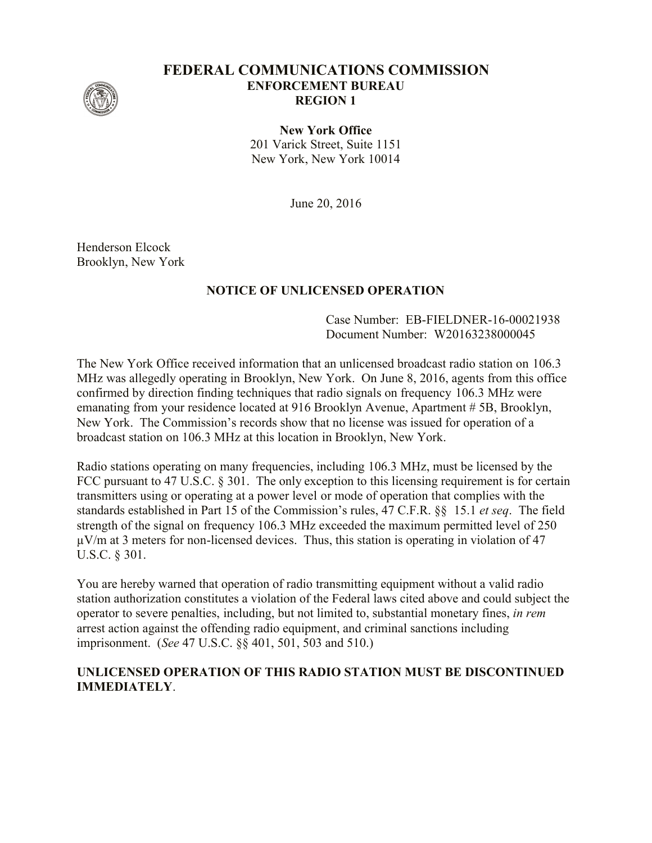

## **FEDERAL COMMUNICATIONS COMMISSION ENFORCEMENT BUREAU REGION 1**

**New York Office** 201 Varick Street, Suite 1151 New York, New York 10014

June 20, 2016

Henderson Elcock Brooklyn, New York

## **NOTICE OF UNLICENSED OPERATION**

Case Number: EB-FIELDNER-16-00021938 Document Number: W20163238000045

The New York Office received information that an unlicensed broadcast radio station on 106.3 MHz was allegedly operating in Brooklyn, New York. On June 8, 2016, agents from this office confirmed by direction finding techniques that radio signals on frequency 106.3 MHz were emanating from your residence located at 916 Brooklyn Avenue, Apartment # 5B, Brooklyn, New York. The Commission's records show that no license was issued for operation of a broadcast station on 106.3 MHz at this location in Brooklyn, New York.

Radio stations operating on many frequencies, including 106.3 MHz, must be licensed by the FCC pursuant to 47 U.S.C. § 301. The only exception to this licensing requirement is for certain transmitters using or operating at a power level or mode of operation that complies with the standards established in Part 15 of the Commission's rules, 47 C.F.R. §§ 15.1 *et seq*. The field strength of the signal on frequency 106.3 MHz exceeded the maximum permitted level of 250  $\mu$ V/m at 3 meters for non-licensed devices. Thus, this station is operating in violation of 47 U.S.C. § 301.

You are hereby warned that operation of radio transmitting equipment without a valid radio station authorization constitutes a violation of the Federal laws cited above and could subject the operator to severe penalties, including, but not limited to, substantial monetary fines, *in rem* arrest action against the offending radio equipment, and criminal sanctions including imprisonment. (*See* 47 U.S.C. §§ 401, 501, 503 and 510.)

## **UNLICENSED OPERATION OF THIS RADIO STATION MUST BE DISCONTINUED IMMEDIATELY**.